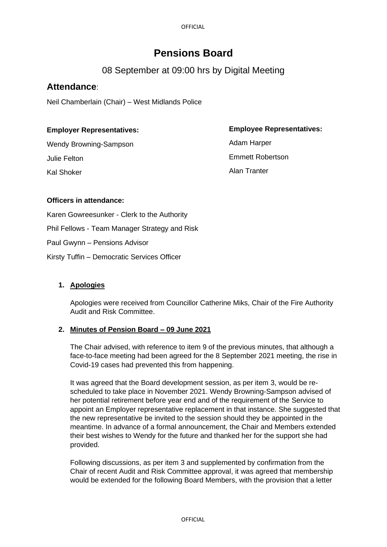**OFFICIAL** 

# **Pensions Board**

## 08 September at 09:00 hrs by Digital Meeting

## **Attendance**:

Neil Chamberlain (Chair) – West Midlands Police

## **Employer Representatives:**

Wendy Browning-Sampson Julie Felton Kal Shoker

**Employee Representatives:** 

Adam Harper Emmett Robertson Alan Tranter

## **Officers in attendance:**

Karen Gowreesunker - Clerk to the Authority

Phil Fellows - Team Manager Strategy and Risk

Paul Gwynn – Pensions Advisor

Kirsty Tuffin – Democratic Services Officer

## **1. Apologies**

Apologies were received from Councillor Catherine Miks, Chair of the Fire Authority Audit and Risk Committee.

## **2. Minutes of Pension Board – 09 June 2021**

The Chair advised, with reference to item 9 of the previous minutes, that although a face-to-face meeting had been agreed for the 8 September 2021 meeting, the rise in Covid-19 cases had prevented this from happening.

It was agreed that the Board development session, as per item 3, would be rescheduled to take place in November 2021. Wendy Browning-Sampson advised of her potential retirement before year end and of the requirement of the Service to appoint an Employer representative replacement in that instance. She suggested that the new representative be invited to the session should they be appointed in the meantime. In advance of a formal announcement, the Chair and Members extended their best wishes to Wendy for the future and thanked her for the support she had provided.

Following discussions, as per item 3 and supplemented by confirmation from the Chair of recent Audit and Risk Committee approval, it was agreed that membership would be extended for the following Board Members, with the provision that a letter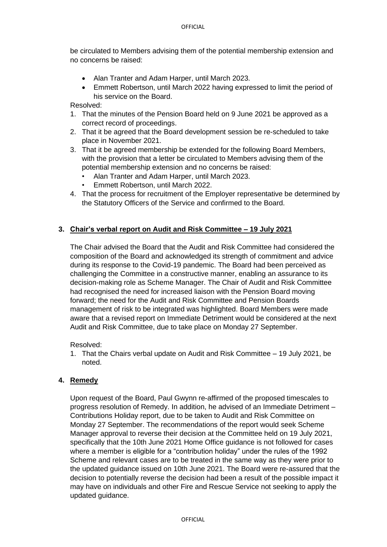be circulated to Members advising them of the potential membership extension and no concerns be raised:

- Alan Tranter and Adam Harper, until March 2023.
- Emmett Robertson, until March 2022 having expressed to limit the period of his service on the Board.

Resolved:

- 1. That the minutes of the Pension Board held on 9 June 2021 be approved as a correct record of proceedings.
- 2. That it be agreed that the Board development session be re-scheduled to take place in November 2021.
- 3. That it be agreed membership be extended for the following Board Members, with the provision that a letter be circulated to Members advising them of the potential membership extension and no concerns be raised:
	- Alan Tranter and Adam Harper, until March 2023.
	- Emmett Robertson, until March 2022.
- 4. That the process for recruitment of the Employer representative be determined by the Statutory Officers of the Service and confirmed to the Board.

### **3. Chair's verbal report on Audit and Risk Committee – 19 July 2021**

The Chair advised the Board that the Audit and Risk Committee had considered the composition of the Board and acknowledged its strength of commitment and advice during its response to the Covid-19 pandemic. The Board had been perceived as challenging the Committee in a constructive manner, enabling an assurance to its decision-making role as Scheme Manager. The Chair of Audit and Risk Committee had recognised the need for increased liaison with the Pension Board moving forward; the need for the Audit and Risk Committee and Pension Boards management of risk to be integrated was highlighted. Board Members were made aware that a revised report on Immediate Detriment would be considered at the next Audit and Risk Committee, due to take place on Monday 27 September.

Resolved:

1. That the Chairs verbal update on Audit and Risk Committee – 19 July 2021, be noted.

#### **4. Remedy**

Upon request of the Board, Paul Gwynn re-affirmed of the proposed timescales to progress resolution of Remedy. In addition, he advised of an Immediate Detriment – Contributions Holiday report, due to be taken to Audit and Risk Committee on Monday 27 September. The recommendations of the report would seek Scheme Manager approval to reverse their decision at the Committee held on 19 July 2021, specifically that the 10th June 2021 Home Office guidance is not followed for cases where a member is eligible for a "contribution holiday" under the rules of the 1992 Scheme and relevant cases are to be treated in the same way as they were prior to the updated guidance issued on 10th June 2021. The Board were re-assured that the decision to potentially reverse the decision had been a result of the possible impact it may have on individuals and other Fire and Rescue Service not seeking to apply the updated guidance.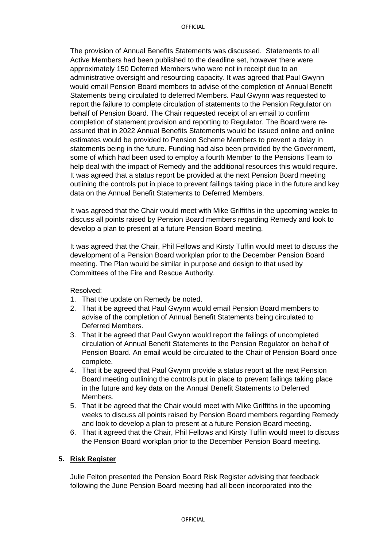The provision of Annual Benefits Statements was discussed. Statements to all Active Members had been published to the deadline set, however there were approximately 150 Deferred Members who were not in receipt due to an administrative oversight and resourcing capacity. It was agreed that Paul Gwynn would email Pension Board members to advise of the completion of Annual Benefit Statements being circulated to deferred Members. Paul Gwynn was requested to report the failure to complete circulation of statements to the Pension Regulator on behalf of Pension Board. The Chair requested receipt of an email to confirm completion of statement provision and reporting to Regulator. The Board were reassured that in 2022 Annual Benefits Statements would be issued online and online estimates would be provided to Pension Scheme Members to prevent a delay in statements being in the future. Funding had also been provided by the Government, some of which had been used to employ a fourth Member to the Pensions Team to help deal with the impact of Remedy and the additional resources this would require. It was agreed that a status report be provided at the next Pension Board meeting outlining the controls put in place to prevent failings taking place in the future and key data on the Annual Benefit Statements to Deferred Members.

It was agreed that the Chair would meet with Mike Griffiths in the upcoming weeks to discuss all points raised by Pension Board members regarding Remedy and look to develop a plan to present at a future Pension Board meeting.

It was agreed that the Chair, Phil Fellows and Kirsty Tuffin would meet to discuss the development of a Pension Board workplan prior to the December Pension Board meeting. The Plan would be similar in purpose and design to that used by Committees of the Fire and Rescue Authority.

#### Resolved:

- 1. That the update on Remedy be noted.
- 2. That it be agreed that Paul Gwynn would email Pension Board members to advise of the completion of Annual Benefit Statements being circulated to Deferred Members.
- 3. That it be agreed that Paul Gwynn would report the failings of uncompleted circulation of Annual Benefit Statements to the Pension Regulator on behalf of Pension Board. An email would be circulated to the Chair of Pension Board once complete.
- 4. That it be agreed that Paul Gwynn provide a status report at the next Pension Board meeting outlining the controls put in place to prevent failings taking place in the future and key data on the Annual Benefit Statements to Deferred Members.
- 5. That it be agreed that the Chair would meet with Mike Griffiths in the upcoming weeks to discuss all points raised by Pension Board members regarding Remedy and look to develop a plan to present at a future Pension Board meeting.
- 6. That it agreed that the Chair, Phil Fellows and Kirsty Tuffin would meet to discuss the Pension Board workplan prior to the December Pension Board meeting.

#### **5. Risk Register**

Julie Felton presented the Pension Board Risk Register advising that feedback following the June Pension Board meeting had all been incorporated into the